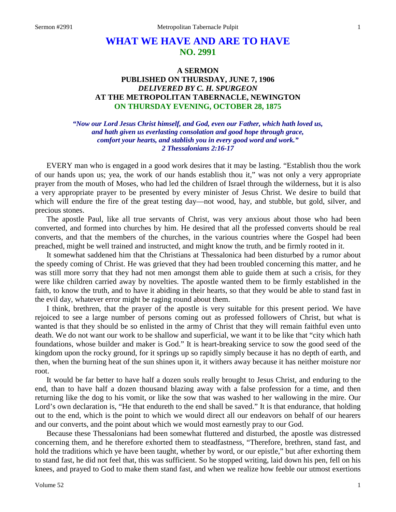## **WHAT WE HAVE AND ARE TO HAVE NO. 2991**

## **A SERMON PUBLISHED ON THURSDAY, JUNE 7, 1906** *DELIVERED BY C. H. SPURGEON* **AT THE METROPOLITAN TABERNACLE, NEWINGTON ON THURSDAY EVENING, OCTOBER 28, 1875**

*"Now our Lord Jesus Christ himself, and God, even our Father, which hath loved us, and hath given us everlasting consolation and good hope through grace, comfort your hearts, and stablish you in every good word and work." 2 Thessalonians 2:16-17*

EVERY man who is engaged in a good work desires that it may be lasting. "Establish thou the work of our hands upon us; yea, the work of our hands establish thou it," was not only a very appropriate prayer from the mouth of Moses, who had led the children of Israel through the wilderness, but it is also a very appropriate prayer to be presented by every minister of Jesus Christ. We desire to build that which will endure the fire of the great testing day—not wood, hay, and stubble, but gold, silver, and precious stones.

The apostle Paul, like all true servants of Christ, was very anxious about those who had been converted, and formed into churches by him. He desired that all the professed converts should be real converts, and that the members of the churches, in the various countries where the Gospel had been preached, might be well trained and instructed, and might know the truth, and be firmly rooted in it.

It somewhat saddened him that the Christians at Thessalonica had been disturbed by a rumor about the speedy coming of Christ. He was grieved that they had been troubled concerning this matter, and he was still more sorry that they had not men amongst them able to guide them at such a crisis, for they were like children carried away by novelties. The apostle wanted them to be firmly established in the faith, to know the truth, and to have it abiding in their hearts, so that they would be able to stand fast in the evil day, whatever error might be raging round about them.

I think, brethren, that the prayer of the apostle is very suitable for this present period. We have rejoiced to see a large number of persons coming out as professed followers of Christ, but what is wanted is that they should be so enlisted in the army of Christ that they will remain faithful even unto death. We do not want our work to be shallow and superficial, we want it to be like that "city which hath foundations, whose builder and maker is God." It is heart-breaking service to sow the good seed of the kingdom upon the rocky ground, for it springs up so rapidly simply because it has no depth of earth, and then, when the burning heat of the sun shines upon it, it withers away because it has neither moisture nor root.

It would be far better to have half a dozen souls really brought to Jesus Christ, and enduring to the end, than to have half a dozen thousand blazing away with a false profession for a time, and then returning like the dog to his vomit, or like the sow that was washed to her wallowing in the mire. Our Lord's own declaration is, "He that endureth to the end shall be saved." It is that endurance, that holding out to the end, which is the point to which we would direct all our endeavors on behalf of our hearers and our converts, and the point about which we would most earnestly pray to our God.

Because these Thessalonians had been somewhat fluttered and disturbed, the apostle was distressed concerning them, and he therefore exhorted them to steadfastness, "Therefore, brethren, stand fast, and hold the traditions which ye have been taught, whether by word, or our epistle," but after exhorting them to stand fast, he did not feel that, this was sufficient. So he stopped writing, laid down his pen, fell on his knees, and prayed to God to make them stand fast, and when we realize how feeble our utmost exertions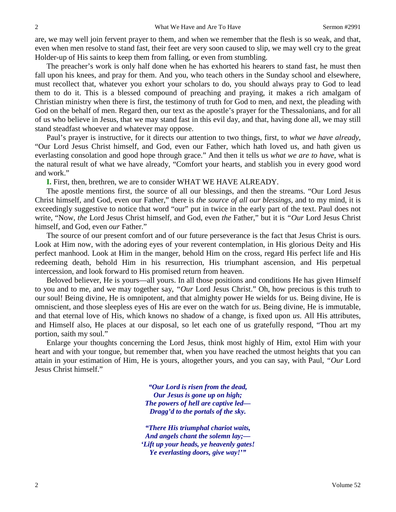are, we may well join fervent prayer to them, and when we remember that the flesh is so weak, and that, even when men resolve to stand fast, their feet are very soon caused to slip, we may well cry to the great Holder-up of His saints to keep them from falling, or even from stumbling.

The preacher's work is only half done when he has exhorted his hearers to stand fast, he must then fall upon his knees, and pray for them. And you, who teach others in the Sunday school and elsewhere, must recollect that, whatever you exhort your scholars to do, you should always pray to God to lead them to do it. This is a blessed compound of preaching and praying, it makes a rich amalgam of Christian ministry when there is first, the testimony of truth for God to men, and next, the pleading with God on the behalf of men. Regard then, our text as the apostle's prayer for the Thessalonians, and for all of us who believe in Jesus, that we may stand fast in this evil day, and that, having done all, we may still stand steadfast whoever and whatever may oppose.

Paul's prayer is instructive, for it directs our attention to two things, first, to *what we have already,* "Our Lord Jesus Christ himself, and God, even our Father, which hath loved us, and hath given us everlasting consolation and good hope through grace." And then it tells us *what we are to have,* what is the natural result of what we have already, "Comfort your hearts, and stablish you in every good word and work."

**I.** First, then, brethren, we are to consider WHAT WE HAVE ALREADY.

The apostle mentions first, the source of all our blessings, and then the streams. "Our Lord Jesus Christ himself, and God, even our Father," there is *the source of all our blessings,* and to my mind, it is exceedingly suggestive to notice that word "our" put in twice in the early part of the text. Paul does not write, "Now, *the* Lord Jesus Christ himself, and God, even *the* Father," but it is *"Our* Lord Jesus Christ himself, and God, even *our* Father."

The source of our present comfort and of our future perseverance is the fact that Jesus Christ is ours. Look at Him now, with the adoring eyes of your reverent contemplation, in His glorious Deity and His perfect manhood. Look at Him in the manger, behold Him on the cross, regard His perfect life and His redeeming death, behold Him in his resurrection, His triumphant ascension, and His perpetual intercession, and look forward to His promised return from heaven.

Beloved believer, He is yours—all yours. In all those positions and conditions He has given Himself to you and to me, and we may together say, *"Our* Lord Jesus Christ." Oh, how precious is this truth to our soul! Being divine, He is omnipotent, and that almighty power He wields for us. Being divine, He is omniscient, and those sleepless eyes of His are ever on the watch for *us*. Being divine, He is immutable, and that eternal love of His, which knows no shadow of a change, is fixed upon *us*. All His attributes, and Himself also, He places at our disposal, so let each one of us gratefully respond, "Thou art my portion, saith my soul."

Enlarge your thoughts concerning the Lord Jesus, think most highly of Him, extol Him with your heart and with your tongue, but remember that, when you have reached the utmost heights that you can attain in your estimation of Him, He is yours, altogether yours, and you can say, with Paul, *"Our* Lord Jesus Christ himself."

> *"Our Lord is risen from the dead, Our Jesus is gone up on high; The powers of hell are captive led— Dragg'd to the portals of the sky.*

*"There His triumphal chariot waits, And angels chant the solemn lay;— 'Lift up your heads, ye heavenly gates! Ye everlasting doors, give way!'"*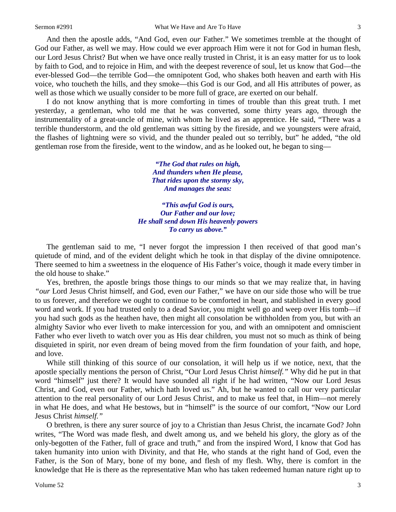And then the apostle adds, "And God, even *our* Father." We sometimes tremble at the thought of God our Father, as well we may. How could we ever approach Him were it not for God in human flesh, our Lord Jesus Christ? But when we have once really trusted in Christ, it is an easy matter for us to look by faith to God, and to rejoice in Him, and with the deepest reverence of soul, let us know that God—the ever-blessed God—the terrible God—the omnipotent God, who shakes both heaven and earth with His voice, who toucheth the hills, and they smoke—this God is our God, and all His attributes of power, as well as those which we usually consider to be more full of grace, are exerted on our behalf.

I do not know anything that is more comforting in times of trouble than this great truth. I met yesterday, a gentleman, who told me that he was converted, some thirty years ago, through the instrumentality of a great-uncle of mine, with whom he lived as an apprentice. He said, "There was a terrible thunderstorm, and the old gentleman was sitting by the fireside, and we youngsters were afraid, the flashes of lightning were so vivid, and the thunder pealed out so terribly, but" he added, "the old gentleman rose from the fireside, went to the window, and as he looked out, he began to sing—

> *"The God that rules on high, And thunders when He please, That rides upon the stormy sky, And manages the seas:*

*"This awful God is ours, Our Father and our love; He shall send down His heavenly powers To carry us above."*

The gentleman said to me, "I never forgot the impression I then received of that good man's quietude of mind, and of the evident delight which he took in that display of the divine omnipotence. There seemed to him a sweetness in the eloquence of His Father's voice, though it made every timber in the old house to shake."

Yes, brethren, the apostle brings those things to our minds so that we may realize that, in having *"our* Lord Jesus Christ himself, and God, even *our* Father," we have on our side those who will be true to us forever, and therefore we ought to continue to be comforted in heart, and stablished in every good word and work. If you had trusted only to a dead Savior, you might well go and weep over His tomb—if you had such gods as the heathen have, then might all consolation be withholden from you, but with an almighty Savior who ever liveth to make intercession for you, and with an omnipotent and omniscient Father who ever liveth to watch over you as His dear children, you must not so much as think of being disquieted in spirit, nor even dream of being moved from the firm foundation of your faith, and hope, and love.

While still thinking of this source of our consolation, it will help us if we notice, next, that the apostle specially mentions the person of Christ, "Our Lord Jesus Christ *himself."* Why did he put in that word "himself" just there? It would have sounded all right if he had written, "Now our Lord Jesus Christ, and God, even our Father, which hath loved us." Ah, but he wanted to call our very particular attention to the real personality of our Lord Jesus Christ, and to make us feel that, in Him—not merely in what He does, and what He bestows, but in "himself" is the source of our comfort, "Now our Lord Jesus Christ *himself."*

O brethren, is there any surer source of joy to a Christian than Jesus Christ, the incarnate God? John writes, "The Word was made flesh, and dwelt among us, and we beheld his glory, the glory as of the only-begotten of the Father, full of grace and truth," and from the inspired Word, I know that God has taken humanity into union with Divinity, and that He, who stands at the right hand of God, even the Father, is the Son of Mary, bone of my bone, and flesh of my flesh. Why, there is comfort in the knowledge that He is there as the representative Man who has taken redeemed human nature right up to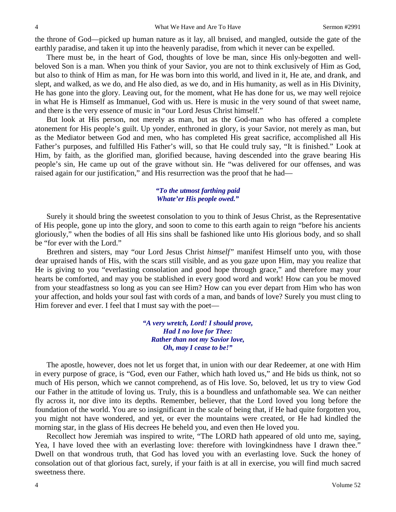the throne of God—picked up human nature as it lay, all bruised, and mangled, outside the gate of the earthly paradise, and taken it up into the heavenly paradise, from which it never can be expelled.

There must be, in the heart of God, thoughts of love be man, since His only-begotten and wellbeloved Son is a man. When you think of your Savior, you are not to think exclusively of Him as God, but also to think of Him as man, for He was born into this world, and lived in it, He ate, and drank, and slept, and walked, as we do, and He also died, as we do, and in His humanity, as well as in His Divinity, He has gone into the glory. Leaving out, for the moment, what He has done for us, we may well rejoice in what He is Himself as Immanuel, God with us. Here is music in the very sound of that sweet name, and there is the very essence of music in "our Lord Jesus Christ himself."

But look at His person, not merely as man, but as the God-man who has offered a complete atonement for His people's guilt. Up yonder, enthroned in glory, is your Savior, not merely as man, but as the Mediator between God and men, who has completed His great sacrifice, accomplished all His Father's purposes, and fulfilled His Father's will, so that He could truly say, "It is finished." Look at Him, by faith, as the glorified man, glorified because, having descended into the grave bearing His people's sin, He came up out of the grave without sin. He "was delivered for our offenses, and was raised again for our justification," and His resurrection was the proof that he had—

## *"To the utmost farthing paid Whate'er His people owed."*

Surely it should bring the sweetest consolation to you to think of Jesus Christ, as the Representative of His people, gone up into the glory, and soon to come to this earth again to reign "before his ancients gloriously," when the bodies of all His sins shall be fashioned like unto His glorious body, and so shall be "for ever with the Lord."

Brethren and sisters, may "our Lord Jesus Christ *himself"* manifest Himself unto you, with those dear upraised hands of His, with the scars still visible, and as you gaze upon Him, may you realize that He is giving to you "everlasting consolation and good hope through grace," and therefore may your hearts be comforted, and may you be stablished in every good word and work! How can you be moved from your steadfastness so long as you can see Him? How can you ever depart from Him who has won your affection, and holds your soul fast with cords of a man, and bands of love? Surely you must cling to Him forever and ever. I feel that I must say with the poet—

> *"A very wretch, Lord! I should prove, Had I no love for Thee: Rather than not my Savior love, Oh, may I cease to be!"*

The apostle, however, does not let us forget that, in union with our dear Redeemer, at one with Him in every purpose of grace, is "God, even our Father, which hath loved us," and He bids us think, not so much of His person, which we cannot comprehend, as of His love. So, beloved, let us try to view God our Father in the attitude of loving us. Truly, this is a boundless and unfathomable sea. We can neither fly across it, nor dive into its depths. Remember, believer, that the Lord loved you long before the foundation of the world. You are so insignificant in the scale of being that, if He had quite forgotten you, you might not have wondered, and yet, or ever the mountains were created, or He had kindled the morning star, in the glass of His decrees He beheld you, and even then He loved you.

Recollect how Jeremiah was inspired to write, "The LORD hath appeared of old unto me, saying, Yea, I have loved thee with an everlasting love: therefore with lovingkindness have I drawn thee." Dwell on that wondrous truth, that God has loved you with an everlasting love. Suck the honey of consolation out of that glorious fact, surely, if your faith is at all in exercise, you will find much sacred sweetness there.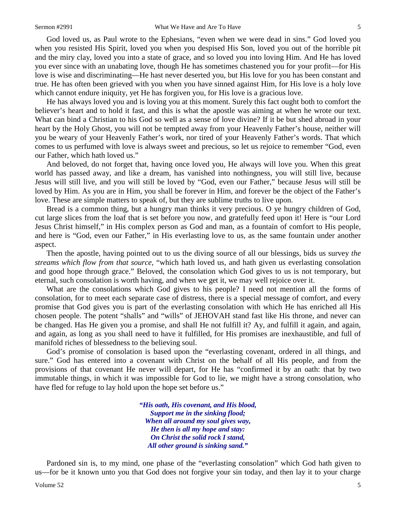God loved us, as Paul wrote to the Ephesians, "even when we were dead in sins." God loved you when you resisted His Spirit, loved you when you despised His Son, loved you out of the horrible pit and the miry clay, loved you into a state of grace, and so loved you into loving Him. And He has loved you ever since with an unabating love, though He has sometimes chastened you for your profit—for His love is wise and discriminating—He hast never deserted you, but His love for you has been constant and true. He has often been grieved with you when you have sinned against Him, for His love is a holy love

He has always loved you and is loving you at this moment. Surely this fact ought both to comfort the believer's heart and to hold it fast, and this is what the apostle was aiming at when he wrote our text. What can bind a Christian to his God so well as a sense of love divine? If it be but shed abroad in your heart by the Holy Ghost, you will not be tempted away from your Heavenly Father's house, neither will you be weary of your Heavenly Father's work, nor tired of your Heavenly Father's words. That which comes to us perfumed with love is always sweet and precious, so let us rejoice to remember "God, even our Father, which hath loved us."

which cannot endure iniquity, yet He has forgiven you, for His love is a gracious love.

And beloved, do not forget that, having once loved you, He always will love you. When this great world has passed away, and like a dream, has vanished into nothingness, you will still live, because Jesus will still live, and you will still be loved by "God, even our Father," because Jesus will still be loved by Him. As you are in Him, you shall be forever in Him, and forever be the object of the Father's love. These are simple matters to speak of, but they are sublime truths to live upon.

Bread is a common thing, but a hungry man thinks it very precious. O ye hungry children of God, cut large slices from the loaf that is set before you now, and gratefully feed upon it! Here is "our Lord Jesus Christ himself," in His complex person as God and man, as a fountain of comfort to His people, and here is "God, even our Father," in His everlasting love to us, as the same fountain under another aspect.

Then the apostle, having pointed out to us the diving source of all our blessings, bids us survey *the streams which flow from that source,* "which hath loved us, and hath given us everlasting consolation and good hope through grace." Beloved, the consolation which God gives to us is not temporary, but eternal, such consolation is worth having, and when we get it, we may well rejoice over it.

What are the consolations which God gives to his people? I need not mention all the forms of consolation, for to meet each separate case of distress, there is a special message of comfort, and every promise that God gives you is part of the everlasting consolation with which He has enriched all His chosen people. The potent "shalls" and "wills" of JEHOVAH stand fast like His throne, and never can be changed. Has He given you a promise, and shall He not fulfill it? Ay, and fulfill it again, and again, and again, as long as you shall need to have it fulfilled, for His promises are inexhaustible, and full of manifold riches of blessedness to the believing soul.

God's promise of consolation is based upon the "everlasting covenant, ordered in all things, and sure." God has entered into a covenant with Christ on the behalf of all His people, and from the provisions of that covenant He never will depart, for He has "confirmed it by an oath: that by two immutable things, in which it was impossible for God to lie, we might have a strong consolation, who have fled for refuge to lay hold upon the hope set before us."

> *"His oath, His covenant, and His blood, Support me in the sinking flood; When all around my soul gives way, He then is all my hope and stay: On Christ the solid rock I stand, All other ground is sinking sand."*

Pardoned sin is, to my mind, one phase of the "everlasting consolation" which God hath given to us—for be it known unto you that God does not forgive your sin today, and then lay it to your charge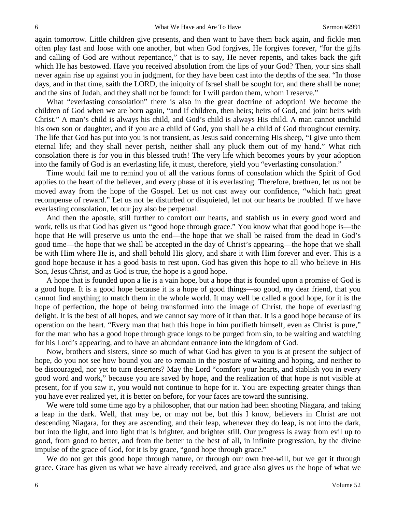again tomorrow. Little children give presents, and then want to have them back again, and fickle men often play fast and loose with one another, but when God forgives, He forgives forever, "for the gifts and calling of God are without repentance," that is to say, He never repents, and takes back the gift which He has bestowed. Have you received absolution from the lips of your God? Then, your sins shall never again rise up against you in judgment, for they have been cast into the depths of the sea. "In those days, and in that time, saith the LORD, the iniquity of Israel shall be sought for, and there shall be none; and the sins of Judah, and they shall not be found: for I will pardon them, whom I reserve."

What "everlasting consolation" there is also in the great doctrine of adoption! We become the children of God when we are born again, "and if children, then heirs; heirs of God, and joint heirs with Christ." A man's child is always his child, and God's child is always His child. A man cannot unchild his own son or daughter, and if you are a child of God, you shall be a child of God throughout eternity. The life that God has put into you is not transient, as Jesus said concerning His sheep, "I give unto them eternal life; and they shall never perish, neither shall any pluck them out of my hand." What rich consolation there is for you in this blessed truth! The very life which becomes yours by your adoption into the family of God is an everlasting life, it must, therefore, yield you "everlasting consolation."

Time would fail me to remind you of all the various forms of consolation which the Spirit of God applies to the heart of the believer, and every phase of it is everlasting. Therefore, brethren, let us not be moved away from the hope of the Gospel. Let us not cast away our confidence, "which hath great recompense of reward." Let us not be disturbed or disquieted, let not our hearts be troubled. If we have everlasting consolation, let our joy also be perpetual.

And then the apostle, still further to comfort our hearts, and stablish us in every good word and work, tells us that God has given us "good hope through grace." You know what that good hope is—the hope that He will preserve us unto the end—the hope that we shall be raised from the dead in God's good time—the hope that we shall be accepted in the day of Christ's appearing—the hope that we shall be with Him where He is, and shall behold His glory, and share it with Him forever and ever. This is a good hope because it has a good basis to rest upon. God has given this hope to all who believe in His Son, Jesus Christ, and as God is true, the hope is a good hope.

A hope that is founded upon a lie is a vain hope, but a hope that is founded upon a promise of God is a good hope. It is a good hope because it is a hope of good things—so good, my dear friend, that you cannot find anything to match them in the whole world. It may well be called a good hope, for it is the hope of perfection, the hope of being transformed into the image of Christ, the hope of everlasting delight. It is the best of all hopes, and we cannot say more of it than that. It is a good hope because of its operation on the heart. "Every man that hath this hope in him purifieth himself, even as Christ is pure," for the man who has a good hope through grace longs to be purged from sin, to be waiting and watching for his Lord's appearing, and to have an abundant entrance into the kingdom of God.

Now, brothers and sisters, since so much of what God has given to you is at present the subject of hope, do you not see how bound you are to remain in the posture of waiting and hoping, and neither to be discouraged, nor yet to turn deserters? May the Lord "comfort your hearts, and stablish you in every good word and work," because you are saved by hope, and the realization of that hope is not visible at present, for if you saw it, you would not continue to hope for it. You are expecting greater things than you have ever realized yet, it is better on before, for your faces are toward the sunrising.

We were told some time ago by a philosopher, that our nation had been shooting Niagara, and taking a leap in the dark. Well, that may be, or may not be, but this I know, believers in Christ are not descending Niagara, for they are ascending, and their leap, whenever they do leap, is not into the dark, but into the light, and into light that is brighter, and brighter still. Our progress is away from evil up to good, from good to better, and from the better to the best of all, in infinite progression, by the divine impulse of the grace of God, for it is by grace, "good hope through grace."

We do not get this good hope through nature, or through our own free-will, but we get it through grace. Grace has given us what we have already received, and grace also gives us the hope of what we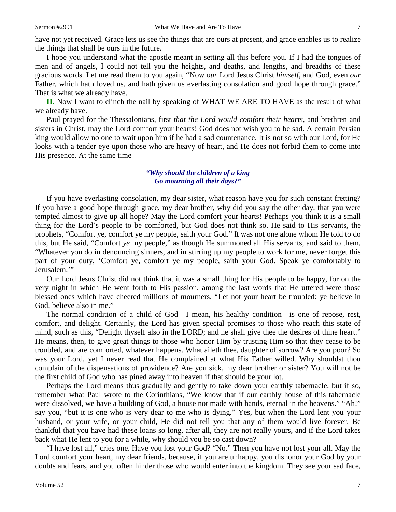have not yet received. Grace lets us see the things that are ours at present, and grace enables us to realize the things that shall be ours in the future.

I hope you understand what the apostle meant in setting all this before you. If I had the tongues of men and of angels, I could not tell you the heights, and deaths, and lengths, and breadths of these gracious words. Let me read them to you again, "Now *our* Lord Jesus Christ *himself,* and God, even *our* Father, which hath loved us, and hath given us everlasting consolation and good hope through grace." That is what we already have.

**II.** Now I want to clinch the nail by speaking of WHAT WE ARE TO HAVE as the result of what we already have.

Paul prayed for the Thessalonians, first *that the Lord would comfort their hearts,* and brethren and sisters in Christ, may the Lord comfort your hearts! God does not wish you to be sad. A certain Persian king would allow no one to wait upon him if he had a sad countenance. It is not so with our Lord, for He looks with a tender eye upon those who are heavy of heart, and He does not forbid them to come into His presence. At the same time—

## *"Why should the children of a king Go mourning all their days?"*

If you have everlasting consolation, my dear sister, what reason have you for such constant fretting? If you have a good hope through grace, my dear brother, why did you say the other day, that you were tempted almost to give up all hope? May the Lord comfort your hearts! Perhaps you think it is a small thing for the Lord's people to be comforted, but God does not think so. He said to His servants, the prophets, "Comfort ye, comfort ye my people, saith your God." It was not one alone whom He told to do this, but He said, "Comfort *ye* my people," as though He summoned all His servants, and said to them, "Whatever you do in denouncing sinners, and in stirring up my people to work for me, never forget this part of your duty, 'Comfort ye, comfort ye my people, saith your God. Speak ye comfortably to Jerusalem.'"

Our Lord Jesus Christ did not think that it was a small thing for His people to be happy, for on the very night in which He went forth to His passion, among the last words that He uttered were those blessed ones which have cheered millions of mourners, "Let not your heart be troubled: ye believe in God, believe also in me."

The normal condition of a child of God—I mean, his healthy condition—is one of repose, rest, comfort, and delight. Certainly, the Lord has given special promises to those who reach this state of mind, such as this, "Delight thyself also in the LORD; and he shall give thee the desires of thine heart." He means, then, to give great things to those who honor Him by trusting Him so that they cease to be troubled, and are comforted, whatever happens. What aileth thee, daughter of sorrow? Are you poor? So was your Lord, yet I never read that He complained at what His Father willed. Why shouldst thou complain of the dispensations of providence? Are you sick, my dear brother or sister? You will not be the first child of God who has pined away into heaven if that should be your lot.

Perhaps the Lord means thus gradually and gently to take down your earthly tabernacle, but if so, remember what Paul wrote to the Corinthians, "We know that if our earthly house of this tabernacle were dissolved, we have a building of God, a house not made with hands, eternal in the heavens." "Ah!" say you, "but it is one who is very dear to me who is dying." Yes, but when the Lord lent you your husband, or your wife, or your child, He did not tell you that any of them would live forever. Be thankful that you have had these loans so long, after all, they are not really yours, and if the Lord takes back what He lent to you for a while, why should you be so cast down?

"I have lost all," cries one. Have you lost your God? "No." Then you have not lost your all. May the Lord comfort your heart, my dear friends, because, if you are unhappy, you dishonor your God by your doubts and fears, and you often hinder those who would enter into the kingdom. They see your sad face,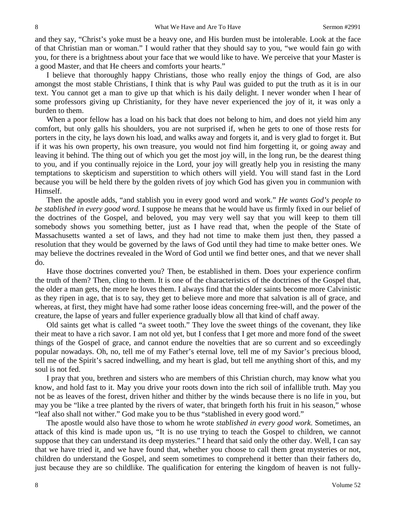and they say, "Christ's yoke must be a heavy one, and His burden must be intolerable. Look at the face of that Christian man or woman." I would rather that they should say to you, "we would fain go with you, for there is a brightness about your face that we would like to have. We perceive that your Master is a good Master, and that He cheers and comforts your hearts."

I believe that thoroughly happy Christians, those who really enjoy the things of God, are also amongst the most stable Christians, I think that is why Paul was guided to put the truth as it is in our text. You cannot get a man to give up that which is his daily delight. I never wonder when I hear of some professors giving up Christianity, for they have never experienced the joy of it, it was only a burden to them.

When a poor fellow has a load on his back that does not belong to him, and does not yield him any comfort, but only galls his shoulders, you are not surprised if, when he gets to one of those rests for porters in the city, he lays down his load, and walks away and forgets it, and is very glad to forget it. But if it was his own property, his own treasure, you would not find him forgetting it, or going away and leaving it behind. The thing out of which you get the most joy will, in the long run, be the dearest thing to you, and if you continually rejoice in the Lord, your joy will greatly help you in resisting the many temptations to skepticism and superstition to which others will yield. You will stand fast in the Lord because you will be held there by the golden rivets of joy which God has given you in communion with Himself.

Then the apostle adds, "and stablish you in every good word and work." *He wants God's people to be stablished in every good word.* I suppose he means that he would have us firmly fixed in our belief of the doctrines of the Gospel, and beloved, you may very well say that you will keep to them till somebody shows you something better, just as I have read that, when the people of the State of Massachusetts wanted a set of laws, and they had not time to make them just then, they passed a resolution that they would be governed by the laws of God until they had time to make better ones. We may believe the doctrines revealed in the Word of God until we find better ones, and that we never shall do.

Have those doctrines converted you? Then, be established in them. Does your experience confirm the truth of them? Then, cling to them. It is one of the characteristics of the doctrines of the Gospel that, the older a man gets, the more he loves them. I always find that the older saints become more Calvinistic as they ripen in age, that is to say, they get to believe more and more that salvation is all of grace, and whereas, at first, they might have had some rather loose ideas concerning free-will, and the power of the creature, the lapse of years and fuller experience gradually blow all that kind of chaff away.

Old saints get what is called "a sweet tooth." They love the sweet things of the covenant, they like their meat to have a rich savor. I am not old yet, but I confess that I get more and more fond of the sweet things of the Gospel of grace, and cannot endure the novelties that are so current and so exceedingly popular nowadays. Oh, no, tell me of my Father's eternal love, tell me of my Savior's precious blood, tell me of the Spirit's sacred indwelling, and my heart is glad, but tell me anything short of this, and my soul is not fed.

I pray that you, brethren and sisters who are members of this Christian church, may know what you know, and hold fast to it. May you drive your roots down into the rich soil of infallible truth. May you not be as leaves of the forest, driven hither and thither by the winds because there is no life in you, but may you be "like a tree planted by the rivers of water, that bringeth forth his fruit in his season," whose "leaf also shall not wither." God make you to be thus "stablished in every good word."

The apostle would also have those to whom he wrote *stablished in every good work*. Sometimes, an attack of this kind is made upon us, "It is no use trying to teach the Gospel to children, we cannot suppose that they can understand its deep mysteries." I heard that said only the other day. Well, I can say that we have tried it, and we have found that, whether you choose to call them great mysteries or not, children do understand the Gospel, and seem sometimes to comprehend it better than their fathers do, just because they are so childlike. The qualification for entering the kingdom of heaven is not fully